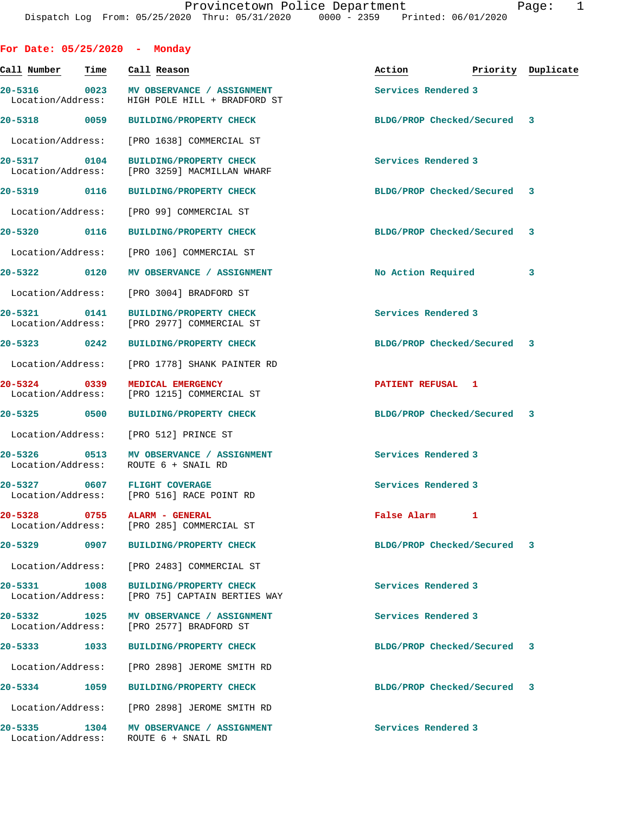| For Date: $05/25/2020$ - Monday   |      |                                                                                 |                             |   |                    |
|-----------------------------------|------|---------------------------------------------------------------------------------|-----------------------------|---|--------------------|
| Call Number                       | Time | Call Reason                                                                     | Action                      |   | Priority Duplicate |
| 20-5316<br>Location/Address:      | 0023 | MV OBSERVANCE / ASSIGNMENT<br>HIGH POLE HILL + BRADFORD ST                      | Services Rendered 3         |   |                    |
| 20-5318 0059                      |      | <b>BUILDING/PROPERTY CHECK</b>                                                  | BLDG/PROP Checked/Secured   |   | 3                  |
| Location/Address:                 |      | [PRO 1638] COMMERCIAL ST                                                        |                             |   |                    |
| 20-5317 0104<br>Location/Address: |      | <b>BUILDING/PROPERTY CHECK</b><br>[PRO 3259] MACMILLAN WHARF                    | Services Rendered 3         |   |                    |
| $20 - 5319$                       | 0116 | <b>BUILDING/PROPERTY CHECK</b>                                                  | BLDG/PROP Checked/Secured 3 |   |                    |
| Location/Address:                 |      | [PRO 99] COMMERCIAL ST                                                          |                             |   |                    |
| 20-5320 0116                      |      | <b>BUILDING/PROPERTY CHECK</b>                                                  | BLDG/PROP Checked/Secured   |   | 3                  |
| Location/Address:                 |      | [PRO 106] COMMERCIAL ST                                                         |                             |   |                    |
| 20-5322 0120                      |      | MV OBSERVANCE / ASSIGNMENT                                                      | No Action Required          |   | 3                  |
| Location/Address:                 |      | [PRO 3004] BRADFORD ST                                                          |                             |   |                    |
| $20 - 5321$<br>Location/Address:  | 0141 | <b>BUILDING/PROPERTY CHECK</b><br>[PRO 2977] COMMERCIAL ST                      | Services Rendered 3         |   |                    |
| 20-5323 0242                      |      | <b>BUILDING/PROPERTY CHECK</b>                                                  | BLDG/PROP Checked/Secured   |   | 3                  |
| Location/Address:                 |      | [PRO 1778] SHANK PAINTER RD                                                     |                             |   |                    |
| 20-5324 0339<br>Location/Address: |      | MEDICAL EMERGENCY<br>[PRO 1215] COMMERCIAL ST                                   | PATIENT REFUSAL 1           |   |                    |
| 20-5325 0500                      |      | <b>BUILDING/PROPERTY CHECK</b>                                                  | BLDG/PROP Checked/Secured 3 |   |                    |
| Location/Address:                 |      | [PRO 512] PRINCE ST                                                             |                             |   |                    |
| 20-5326 0513<br>Location/Address: |      | MV OBSERVANCE / ASSIGNMENT<br>ROUTE 6 + SNAIL RD                                | Services Rendered 3         |   |                    |
| $20 - 5327$                       |      | 0607 FLIGHT COVERAGE<br>Location/Address: [PRO 516] RACE POINT RD               | Services Rendered 3         |   |                    |
|                                   |      | 20-5328 0755 ALARM - GENERAL<br>Location/Address: [PRO 285] COMMERCIAL ST       | False Alarm                 | 1 |                    |
| 20-5329 0907                      |      | <b>BUILDING/PROPERTY CHECK</b>                                                  | BLDG/PROP Checked/Secured   |   | 3                  |
|                                   |      | Location/Address: [PRO 2483] COMMERCIAL ST                                      |                             |   |                    |
| 20-5331 1008<br>Location/Address: |      | <b>BUILDING/PROPERTY CHECK</b><br>[PRO 75] CAPTAIN BERTIES WAY                  | Services Rendered 3         |   |                    |
| $20 - 5332$<br>Location/Address:  | 1025 | MV OBSERVANCE / ASSIGNMENT<br>[PRO 2577] BRADFORD ST                            | Services Rendered 3         |   |                    |
| 20-5333 1033                      |      | <b>BUILDING/PROPERTY CHECK</b>                                                  | BLDG/PROP Checked/Secured   |   | 3                  |
| Location/Address:                 |      | [PRO 2898] JEROME SMITH RD                                                      |                             |   |                    |
| 20-5334 1059                      |      | <b>BUILDING/PROPERTY CHECK</b>                                                  | BLDG/PROP Checked/Secured 3 |   |                    |
|                                   |      | Location/Address: [PRO 2898] JEROME SMITH RD                                    |                             |   |                    |
|                                   |      | 20-5335 1304 MV OBSERVANCE / ASSIGNMENT<br>Location/Address: ROUTE 6 + SNAIL RD | Services Rendered 3         |   |                    |
|                                   |      |                                                                                 |                             |   |                    |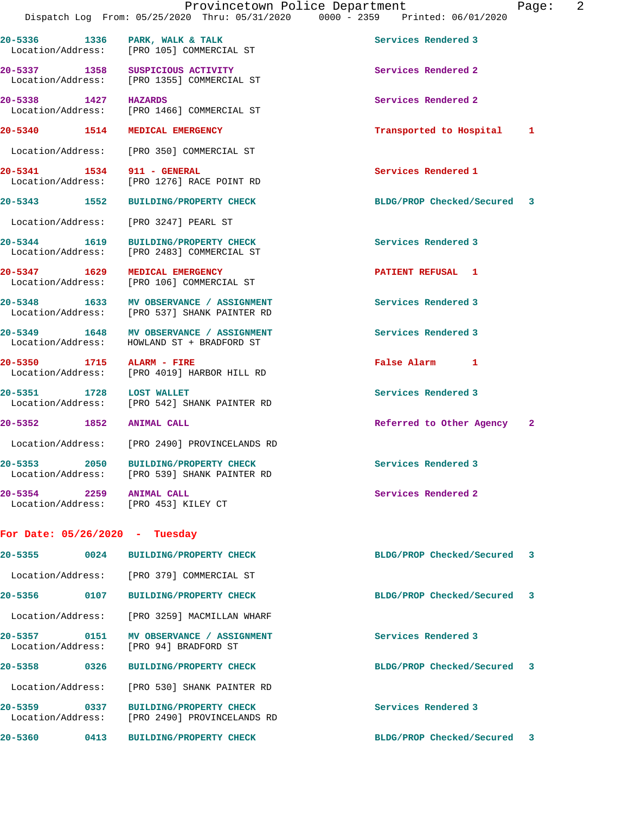20-5336 1336 PARK, WALK & TALK **Services Rendered 3** 

Location/Address: [PRO 105] COMMERCIAL ST

20-5337 1358 SUSPICIOUS ACTIVITY **Subset Activity Services Rendered 2**  Location/Address: [PRO 1355] COMMERCIAL ST **20-5338 1427 HAZARDS Services Rendered 2**  Location/Address: [PRO 1466] COMMERCIAL ST **20-5340 1514 MEDICAL EMERGENCY Transported to Hospital 1** Location/Address: [PRO 350] COMMERCIAL ST **20-5341 1534 911 - GENERAL Services Rendered 1**  Location/Address: [PRO 1276] RACE POINT RD **20-5343 1552 BUILDING/PROPERTY CHECK BLDG/PROP Checked/Secured 3** Location/Address: [PRO 3247] PEARL ST **20-5344 1619 BUILDING/PROPERTY CHECK Services Rendered 3**  Location/Address: [PRO 2483] COMMERCIAL ST **20-5347 1629 MEDICAL EMERGENCY PATIENT REFUSAL 1**  Location/Address: [PRO 106] COMMERCIAL ST **20-5348 1633 MV OBSERVANCE / ASSIGNMENT Services Rendered 3**  Location/Address: [PRO 537] SHANK PAINTER RD **20-5349 1648 MV OBSERVANCE / ASSIGNMENT Services Rendered 3**  Location/Address: HOWLAND ST + BRADFORD ST **20-5350 1715 ALARM - FIRE False Alarm 1**  [PRO 4019] HARBOR HILL RD **20-5351 1728 LOST WALLET Services Rendered 3**  Location/Address: [PRO 542] SHANK PAINTER RD **20-5352 1852 ANIMAL CALL Referred to Other Agency 2** Location/Address: [PRO 2490] PROVINCELANDS RD **20-5353 2050 BUILDING/PROPERTY CHECK Services Rendered 3**  Location/Address: [PRO 539] SHANK PAINTER RD **20-5354** 2259 ANIMAL CALL 20-5354 Services Rendered 2 Location/Address: [PRO 453] KILEY CT **For Date: 05/26/2020 - Tuesday 20-5355 0024 BUILDING/PROPERTY CHECK BLDG/PROP Checked/Secured 3** Location/Address: [PRO 379] COMMERCIAL ST

 Location/Address: [PRO 3259] MACMILLAN WHARF **20-5357 0151 MV OBSERVANCE / ASSIGNMENT Services Rendered 3**  Location/Address: [PRO 94] BRADFORD ST

**20-5356 0107 BUILDING/PROPERTY CHECK BLDG/PROP Checked/Secured 3**

**20-5358 0326 BUILDING/PROPERTY CHECK BLDG/PROP Checked/Secured 3** Location/Address: [PRO 530] SHANK PAINTER RD

**20-5359 0337 BUILDING/PROPERTY CHECK Services Rendered 3**  Location/Address: [PRO 2490] PROVINCELANDS RD

**20-5360 0413 BUILDING/PROPERTY CHECK BLDG/PROP Checked/Secured 3**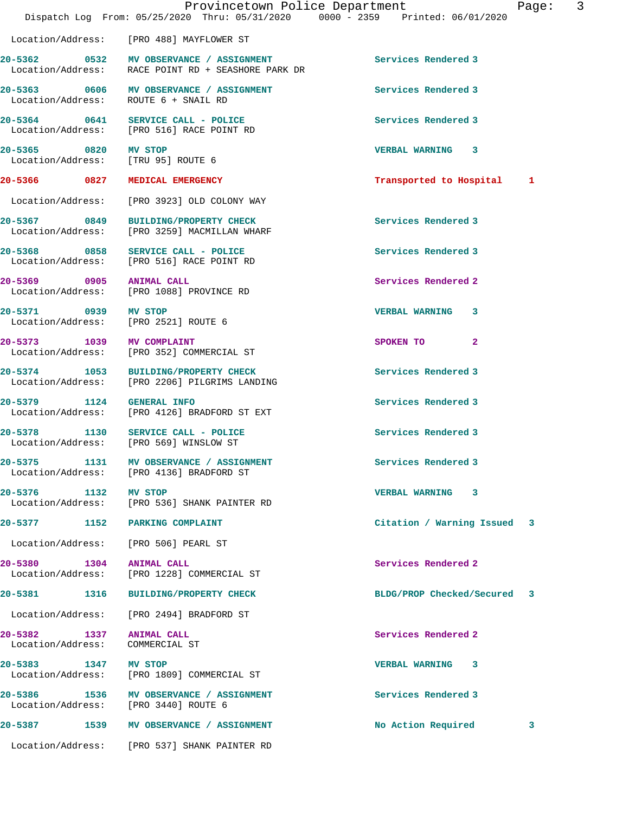|                                                              | Provincetown Police Department<br>Dispatch Log From: 05/25/2020 Thru: 05/31/2020 0000 - 2359 Printed: 06/01/2020 | Page: 3                     |  |
|--------------------------------------------------------------|------------------------------------------------------------------------------------------------------------------|-----------------------------|--|
|                                                              | Location/Address: [PRO 488] MAYFLOWER ST                                                                         |                             |  |
|                                                              | 20-5362 0532 MV OBSERVANCE / ASSIGNMENT<br>Location/Address: RACE POINT RD + SEASHORE PARK DR                    | Services Rendered 3         |  |
| Location/Address: ROUTE 6 + SNAIL RD                         | 20-5363 0606 MV OBSERVANCE / ASSIGNMENT                                                                          | Services Rendered 3         |  |
|                                                              | 20-5364 0641 SERVICE CALL - POLICE<br>Location/Address: [PRO 516] RACE POINT RD                                  | Services Rendered 3         |  |
| 20-5365 0820 MV STOP<br>Location/Address: [TRU 95] ROUTE 6   |                                                                                                                  | VERBAL WARNING 3            |  |
| 20-5366 0827 MEDICAL EMERGENCY                               |                                                                                                                  | Transported to Hospital 1   |  |
|                                                              | Location/Address: [PRO 3923] OLD COLONY WAY                                                                      |                             |  |
|                                                              | 20-5367 0849 BUILDING/PROPERTY CHECK<br>Location/Address: [PRO 3259] MACMILLAN WHARF                             | Services Rendered 3         |  |
|                                                              | 20-5368 0858 SERVICE CALL - POLICE<br>Location/Address: [PRO 516] RACE POINT RD                                  | Services Rendered 3         |  |
| 20-5369 0905 ANIMAL CALL                                     | Location/Address: [PRO 1088] PROVINCE RD                                                                         | Services Rendered 2         |  |
| 20-5371 0939 MV STOP<br>Location/Address: [PRO 2521] ROUTE 6 |                                                                                                                  | VERBAL WARNING 3            |  |
| 20-5373 1039 MV COMPLAINT                                    | Location/Address: [PRO 352] COMMERCIAL ST                                                                        | SPOKEN TO 2                 |  |
|                                                              | 20-5374 1053 BUILDING/PROPERTY CHECK<br>Location/Address: [PRO 2206] PILGRIMS LANDING                            | Services Rendered 3         |  |
| 20-5379 1124 GENERAL INFO                                    | Location/Address: [PRO 4126] BRADFORD ST EXT                                                                     | Services Rendered 3         |  |
|                                                              | 20-5378 1130 SERVICE CALL - POLICE<br>Location/Address: [PRO 569] WINSLOW ST                                     | Services Rendered 3         |  |
|                                                              | 20-5375 1131 MV OBSERVANCE / ASSIGNMENT<br>Location/Address: [PRO 4136] BRADFORD ST                              | Services Rendered 3         |  |
| 20-5376 1132                                                 | <b>MV STOP</b><br>Location/Address: [PRO 536] SHANK PAINTER RD                                                   | <b>VERBAL WARNING 3</b>     |  |
| 20-5377 1152 PARKING COMPLAINT                               |                                                                                                                  | Citation / Warning Issued 3 |  |
| Location/Address: [PRO 506] PEARL ST                         |                                                                                                                  |                             |  |
| 20-5380 1304 ANIMAL CALL                                     | Location/Address: [PRO 1228] COMMERCIAL ST                                                                       | Services Rendered 2         |  |
|                                                              | 20-5381 1316 BUILDING/PROPERTY CHECK                                                                             | BLDG/PROP Checked/Secured 3 |  |
|                                                              | Location/Address: [PRO 2494] BRADFORD ST                                                                         |                             |  |
| 20-5382 1337<br>Location/Address:                            | <b>ANIMAL CALL</b><br>COMMERCIAL ST                                                                              | Services Rendered 2         |  |
| 20-5383 1347 MV STOP                                         | Location/Address: [PRO 1809] COMMERCIAL ST                                                                       | VERBAL WARNING 3            |  |
| Location/Address: [PRO 3440] ROUTE 6                         | 20-5386 1536 MV OBSERVANCE / ASSIGNMENT                                                                          | Services Rendered 3         |  |
|                                                              | 20-5387 1539 MV OBSERVANCE / ASSIGNMENT                                                                          | No Action Required<br>3     |  |
|                                                              | Location/Address: [PRO 537] SHANK PAINTER RD                                                                     |                             |  |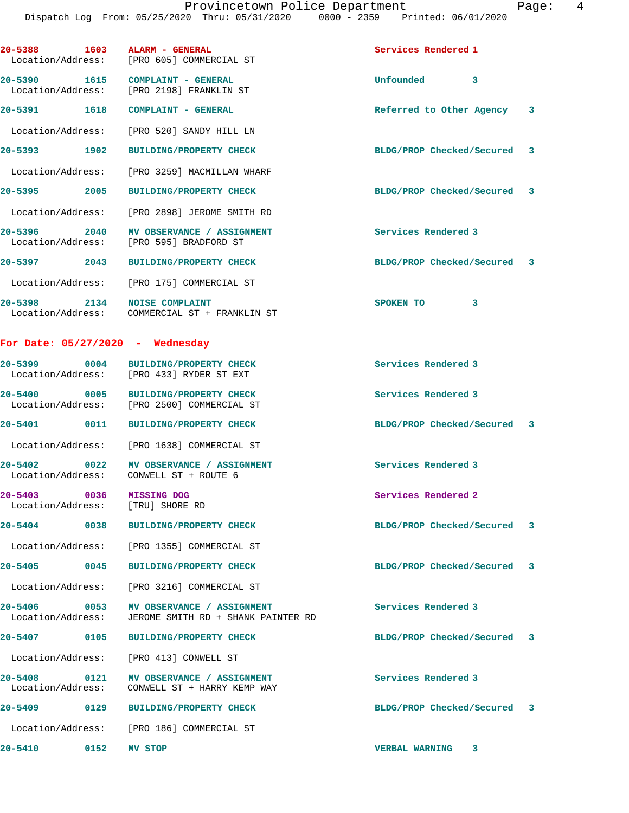| 20-5388 1603 ALARM - GENERAL                        | Location/Address: [PRO 605] COMMERCIAL ST                                          | Services Rendered 1         |   |
|-----------------------------------------------------|------------------------------------------------------------------------------------|-----------------------------|---|
|                                                     | 20-5390 1615 COMPLAINT - GENERAL<br>Location/Address: [PRO 2198] FRANKLIN ST       | Unfounded 3                 |   |
|                                                     | 20-5391 1618 COMPLAINT - GENERAL                                                   | Referred to Other Agency 3  |   |
|                                                     | Location/Address: [PRO 520] SANDY HILL LN                                          |                             |   |
|                                                     | 20-5393 1902 BUILDING/PROPERTY CHECK                                               | BLDG/PROP Checked/Secured 3 |   |
|                                                     | Location/Address: [PRO 3259] MACMILLAN WHARF                                       |                             |   |
|                                                     | 20-5395 2005 BUILDING/PROPERTY CHECK                                               | BLDG/PROP Checked/Secured 3 |   |
|                                                     | Location/Address: [PRO 2898] JEROME SMITH RD                                       |                             |   |
|                                                     | 20-5396 2040 MV OBSERVANCE / ASSIGNMENT<br>Location/Address: [PRO 595] BRADFORD ST | Services Rendered 3         |   |
|                                                     | 20-5397 2043 BUILDING/PROPERTY CHECK                                               | BLDG/PROP Checked/Secured 3 |   |
|                                                     | Location/Address: [PRO 175] COMMERCIAL ST                                          |                             |   |
|                                                     | 20-5398 2134 NOISE COMPLAINT<br>Location/Address: COMMERCIAL ST + FRANKLIN ST      | SPOKEN TO<br>3              |   |
| For Date: 05/27/2020 - Wednesday                    |                                                                                    |                             |   |
|                                                     | 20-5399 0004 BUILDING/PROPERTY CHECK<br>Location/Address: [PRO 433] RYDER ST EXT   | Services Rendered 3         |   |
|                                                     | 20-5400 0005 BUILDING/PROPERTY CHECK<br>Location/Address: [PRO 2500] COMMERCIAL ST | Services Rendered 3         |   |
| 20-5401 0011                                        | <b>BUILDING/PROPERTY CHECK</b>                                                     | BLDG/PROP Checked/Secured 3 |   |
|                                                     | Location/Address: [PRO 1638] COMMERCIAL ST                                         |                             |   |
| 20-5402                                             | 0022 MV OBSERVANCE / ASSIGNMENT<br>Location/Address: CONWELL ST + ROUTE 6          | Services Rendered 3         |   |
| 20-5403<br>0036<br>Location/Address: [TRU] SHORE RD | <b>MISSING DOG</b>                                                                 | Services Rendered 2         |   |
| 20-5404<br>0038                                     | <b>BUILDING/PROPERTY CHECK</b>                                                     | BLDG/PROP Checked/Secured   | 3 |
|                                                     | Location/Address: [PRO 1355] COMMERCIAL ST                                         |                             |   |
| 20-5405 0045                                        | <b>BUILDING/PROPERTY CHECK</b>                                                     | BLDG/PROP Checked/Secured 3 |   |
|                                                     | Location/Address: [PRO 3216] COMMERCIAL ST                                         |                             |   |
| 20-5406<br>Location/Address:                        | 0053 MV OBSERVANCE / ASSIGNMENT<br>JEROME SMITH RD + SHANK PAINTER RD              | Services Rendered 3         |   |
| 20-5407 0105                                        | <b>BUILDING/PROPERTY CHECK</b>                                                     | BLDG/PROP Checked/Secured 3 |   |
|                                                     | Location/Address: [PRO 413] CONWELL ST                                             |                             |   |
| 20-5408 0121<br>Location/Address:                   | MV OBSERVANCE / ASSIGNMENT<br>CONWELL ST + HARRY KEMP WAY                          | Services Rendered 3         |   |
| 20-5409<br>0129                                     | <b>BUILDING/PROPERTY CHECK</b>                                                     | BLDG/PROP Checked/Secured 3 |   |
|                                                     | Location/Address: [PRO 186] COMMERCIAL ST                                          |                             |   |
| 20-5410<br>0152                                     | MV STOP                                                                            | <b>VERBAL WARNING</b><br>3  |   |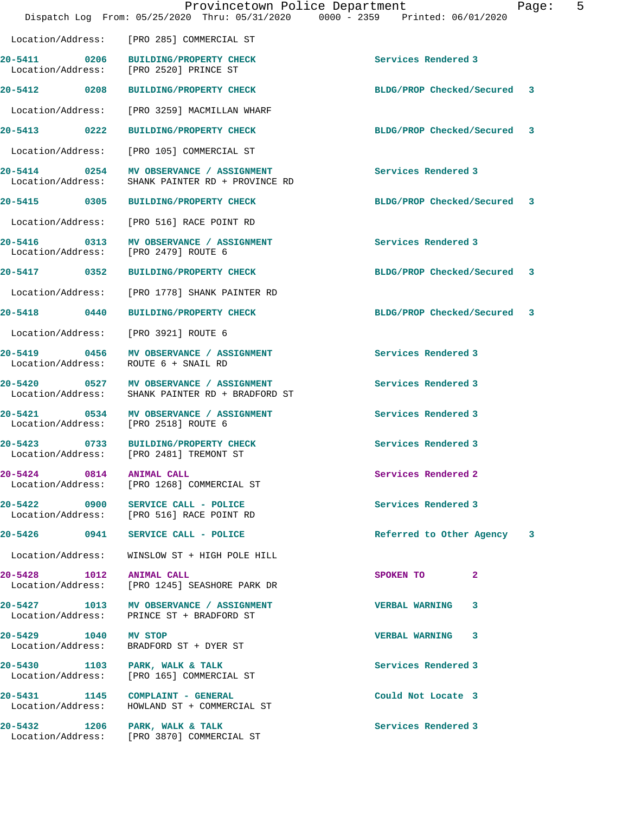|                                      |                                                                                      | Provincetown Police Department<br>Dispatch Log From: 05/25/2020 Thru: 05/31/2020 0000 - 2359 Printed: 06/01/2020 | Page: | 5 |
|--------------------------------------|--------------------------------------------------------------------------------------|------------------------------------------------------------------------------------------------------------------|-------|---|
|                                      | Location/Address: [PRO 285] COMMERCIAL ST                                            |                                                                                                                  |       |   |
|                                      | 20-5411 0206 BUILDING/PROPERTY CHECK<br>Location/Address: [PRO 2520] PRINCE ST       | Services Rendered 3                                                                                              |       |   |
|                                      | 20-5412 0208 BUILDING/PROPERTY CHECK                                                 | BLDG/PROP Checked/Secured 3                                                                                      |       |   |
| Location/Address:                    | [PRO 3259] MACMILLAN WHARF                                                           |                                                                                                                  |       |   |
| 20-5413 0222                         | <b>BUILDING/PROPERTY CHECK</b>                                                       | BLDG/PROP Checked/Secured 3                                                                                      |       |   |
| Location/Address:                    | [PRO 105] COMMERCIAL ST                                                              |                                                                                                                  |       |   |
| Location/Address:                    | 20-5414 0254 MV OBSERVANCE / ASSIGNMENT<br>SHANK PAINTER RD + PROVINCE RD            | Services Rendered 3                                                                                              |       |   |
|                                      | 20-5415 0305 BUILDING/PROPERTY CHECK                                                 | BLDG/PROP Checked/Secured 3                                                                                      |       |   |
|                                      | Location/Address: [PRO 516] RACE POINT RD                                            |                                                                                                                  |       |   |
| Location/Address: [PRO 2479] ROUTE 6 | 20-5416 0313 MV OBSERVANCE / ASSIGNMENT                                              | Services Rendered 3                                                                                              |       |   |
| 20-5417 0352                         | <b>BUILDING/PROPERTY CHECK</b>                                                       | BLDG/PROP Checked/Secured 3                                                                                      |       |   |
| Location/Address:                    | [PRO 1778] SHANK PAINTER RD                                                          |                                                                                                                  |       |   |
| 20-5418 0440                         | <b>BUILDING/PROPERTY CHECK</b>                                                       | BLDG/PROP Checked/Secured 3                                                                                      |       |   |
| Location/Address:                    | [PRO 3921] ROUTE 6                                                                   |                                                                                                                  |       |   |
| 20-5419 0456<br>Location/Address:    | MV OBSERVANCE / ASSIGNMENT<br>ROUTE 6 + SNAIL RD                                     | Services Rendered 3                                                                                              |       |   |
| 0527<br>20-5420<br>Location/Address: | MV OBSERVANCE / ASSIGNMENT<br>SHANK PAINTER RD + BRADFORD ST                         | Services Rendered 3                                                                                              |       |   |
| Location/Address: [PRO 2518] ROUTE 6 | 20-5421 0534 MV OBSERVANCE / ASSIGNMENT                                              | Services Rendered 3                                                                                              |       |   |
| 0733<br>20-5423                      | <b>BUILDING/PROPERTY CHECK</b><br>Location/Address: [PRO 2481] TREMONT ST            | Services Rendered 3                                                                                              |       |   |
| 20-5424 0814 ANIMAL CALL             | Location/Address: [PRO 1268] COMMERCIAL ST                                           | Services Rendered 2                                                                                              |       |   |
|                                      | 20-5422 0900 SERVICE CALL - POLICE<br>Location/Address: [PRO 516] RACE POINT RD      | Services Rendered 3                                                                                              |       |   |
|                                      | 20-5426 0941 SERVICE CALL - POLICE                                                   | Referred to Other Agency                                                                                         | 3     |   |
|                                      | Location/Address: WINSLOW ST + HIGH POLE HILL                                        |                                                                                                                  |       |   |
| 20-5428 1012 ANIMAL CALL             | Location/Address: [PRO 1245] SEASHORE PARK DR                                        | SPOKEN TO<br>$\mathbf{2}$                                                                                        |       |   |
|                                      | 20-5427 1013 MV OBSERVANCE / ASSIGNMENT<br>Location/Address: PRINCE ST + BRADFORD ST | VERBAL WARNING 3                                                                                                 |       |   |
| 20-5429 1040 MV STOP                 | Location/Address: BRADFORD ST + DYER ST                                              | VERBAL WARNING 3                                                                                                 |       |   |
| 20-5430 1103 PARK, WALK & TALK       | Location/Address: [PRO 165] COMMERCIAL ST                                            | Services Rendered 3                                                                                              |       |   |
|                                      | 20-5431 1145 COMPLAINT - GENERAL<br>Location/Address: HOWLAND ST + COMMERCIAL ST     | Could Not Locate 3                                                                                               |       |   |
| 20-5432 1206 PARK, WALK & TALK       | Location/Address: [PRO 3870] COMMERCIAL ST                                           | Services Rendered 3                                                                                              |       |   |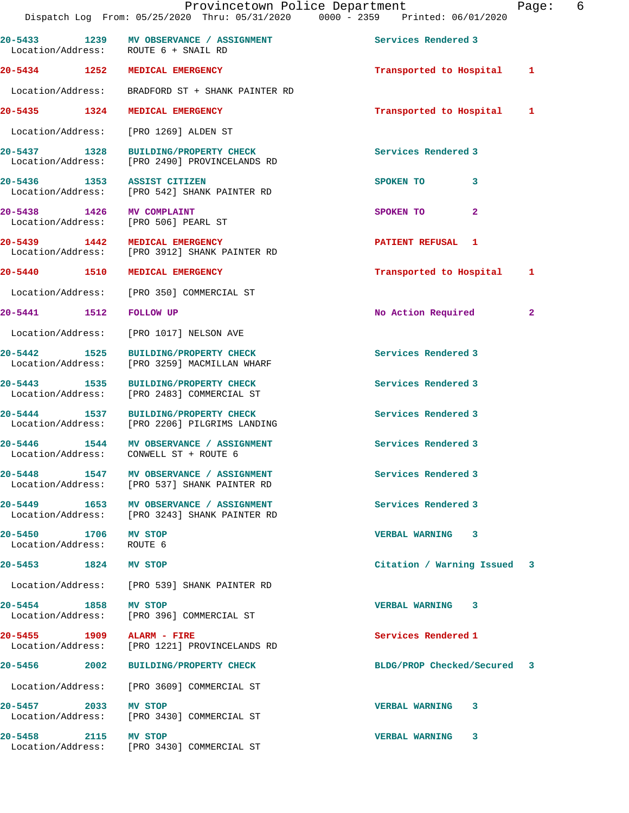|                                                   | Provincetown Police Department<br>Dispatch Log From: 05/25/2020 Thru: 05/31/2020 0000 - 2359 Printed: 06/01/2020 |                             | 6<br>Page: |
|---------------------------------------------------|------------------------------------------------------------------------------------------------------------------|-----------------------------|------------|
|                                                   | 20-5433 1239 MV OBSERVANCE / ASSIGNMENT<br>Location/Address: ROUTE 6 + SNAIL RD                                  | Services Rendered 3         |            |
|                                                   | 20-5434 1252 MEDICAL EMERGENCY                                                                                   | Transported to Hospital 1   |            |
|                                                   | Location/Address: BRADFORD ST + SHANK PAINTER RD                                                                 |                             |            |
|                                                   | 20-5435 1324 MEDICAL EMERGENCY                                                                                   | Transported to Hospital 1   |            |
|                                                   | Location/Address: [PRO 1269] ALDEN ST                                                                            |                             |            |
|                                                   | 20-5437 1328 BUILDING/PROPERTY CHECK<br>Location/Address: [PRO 2490] PROVINCELANDS RD                            | Services Rendered 3         |            |
|                                                   | 20-5436 1353 ASSIST CITIZEN<br>Location/Address: [PRO 542] SHANK PAINTER RD                                      | SPOKEN TO 3                 |            |
|                                                   | 20-5438 1426 MV COMPLAINT<br>Location/Address: [PRO 506] PEARL ST                                                | $\mathbf{2}$<br>SPOKEN TO   |            |
|                                                   | 20-5439 1442 MEDICAL EMERGENCY<br>Location/Address: [PRO 3912] SHANK PAINTER RD                                  | <b>PATIENT REFUSAL 1</b>    |            |
|                                                   | 20-5440 1510 MEDICAL EMERGENCY                                                                                   | Transported to Hospital 1   |            |
|                                                   | Location/Address: [PRO 350] COMMERCIAL ST                                                                        |                             |            |
| 20-5441 1512 FOLLOW UP                            |                                                                                                                  | No Action Required          | 2          |
|                                                   | Location/Address: [PRO 1017] NELSON AVE                                                                          |                             |            |
|                                                   | 20-5442 1525 BUILDING/PROPERTY CHECK<br>Location/Address: [PRO 3259] MACMILLAN WHARF                             | Services Rendered 3         |            |
|                                                   | 20-5443 1535 BUILDING/PROPERTY CHECK<br>Location/Address: [PRO 2483] COMMERCIAL ST                               | Services Rendered 3         |            |
|                                                   | 20-5444 1537 BUILDING/PROPERTY CHECK<br>Location/Address: [PRO 2206] PILGRIMS LANDING                            | Services Rendered 3         |            |
|                                                   | 20-5446 1544 MV OBSERVANCE / ASSIGNMENT<br>Location/Address: CONWELL ST + ROUTE 6                                | Services Rendered 3         |            |
|                                                   | 20-5448 1547 MV OBSERVANCE / ASSIGNMENT<br>Location/Address: [PRO 537] SHANK PAINTER RD                          | Services Rendered 3         |            |
|                                                   | 20-5449 1653 MV OBSERVANCE / ASSIGNMENT<br>Location/Address: [PRO 3243] SHANK PAINTER RD                         | Services Rendered 3         |            |
| 20-5450 1706 MV STOP<br>Location/Address: ROUTE 6 |                                                                                                                  | VERBAL WARNING 3            |            |
| 20-5453 1824 MV STOP                              |                                                                                                                  | Citation / Warning Issued   | 3          |
|                                                   | Location/Address: [PRO 539] SHANK PAINTER RD                                                                     |                             |            |
| 20-5454 1858 MV STOP                              | Location/Address: [PRO 396] COMMERCIAL ST                                                                        | VERBAL WARNING 3            |            |
|                                                   | 20-5455 1909 ALARM - FIRE<br>Location/Address: [PRO 1221] PROVINCELANDS RD                                       | Services Rendered 1         |            |
|                                                   | 20-5456 2002 BUILDING/PROPERTY CHECK                                                                             | BLDG/PROP Checked/Secured 3 |            |
|                                                   | Location/Address: [PRO 3609] COMMERCIAL ST                                                                       |                             |            |
| 20-5457 2033 MV STOP                              | Location/Address: [PRO 3430] COMMERCIAL ST                                                                       | VERBAL WARNING 3            |            |
| 20-5458 2115 MV STOP                              | Location/Address: [PRO 3430] COMMERCIAL ST                                                                       | VERBAL WARNING 3            |            |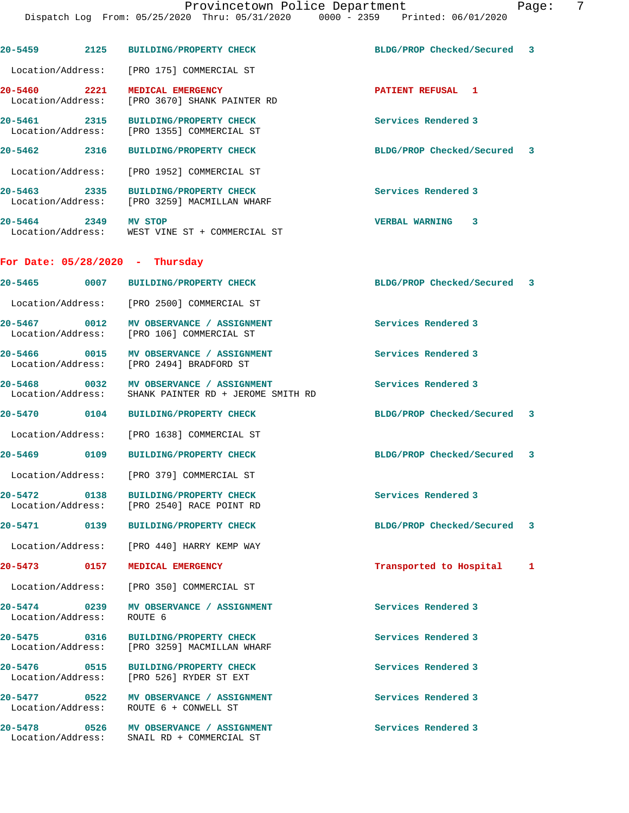| 20-5459 2125                                      | <b>BUILDING/PROPERTY CHECK</b>                                          | BLDG/PROP Checked/Secured 3 |   |
|---------------------------------------------------|-------------------------------------------------------------------------|-----------------------------|---|
| Location/Address:                                 | [PRO 175] COMMERCIAL ST                                                 |                             |   |
| 20-5460 2221<br>Location/Address:                 | MEDICAL EMERGENCY<br>[PRO 3670] SHANK PAINTER RD                        | PATIENT REFUSAL 1           |   |
| 20-5461 2315<br>Location/Address:                 | <b>BUILDING/PROPERTY CHECK</b><br>[PRO 1355] COMMERCIAL ST              | Services Rendered 3         |   |
| $20 - 5462$<br>2316                               | <b>BUILDING/PROPERTY CHECK</b>                                          | BLDG/PROP Checked/Secured 3 |   |
|                                                   | Location/Address: [PRO 1952] COMMERCIAL ST                              |                             |   |
| 20-5463 2335                                      | BUILDING/PROPERTY CHECK<br>Location/Address: [PRO 3259] MACMILLAN WHARF | Services Rendered 3         |   |
| 20-5464 2349 MV STOP                              | Location/Address: WEST VINE ST + COMMERCIAL ST                          | <b>VERBAL WARNING</b><br>3  |   |
| For Date: $05/28/2020 - Thursday$                 |                                                                         |                             |   |
| 20-5465 0007                                      | <b>BUILDING/PROPERTY CHECK</b>                                          | BLDG/PROP Checked/Secured 3 |   |
|                                                   | Location/Address: [PRO 2500] COMMERCIAL ST                              |                             |   |
| 20-5467 0012<br>Location/Address:                 | MV OBSERVANCE / ASSIGNMENT<br>[PRO 106] COMMERCIAL ST                   | Services Rendered 3         |   |
| Location/Address:                                 | 20-5466 0015 MV OBSERVANCE / ASSIGNMENT<br>[PRO 2494] BRADFORD ST       | Services Rendered 3         |   |
| 20-5468 0032<br>Location/Address:                 | MV OBSERVANCE / ASSIGNMENT<br>SHANK PAINTER RD + JEROME SMITH RD        | Services Rendered 3         |   |
| 20-5470 0104                                      | <b>BUILDING/PROPERTY CHECK</b>                                          | BLDG/PROP Checked/Secured 3 |   |
|                                                   | Location/Address: [PRO 1638] COMMERCIAL ST                              |                             |   |
| 20-5469 0109                                      | <b>BUILDING/PROPERTY CHECK</b>                                          | BLDG/PROP Checked/Secured 3 |   |
|                                                   | Location/Address: [PRO 379] COMMERCIAL ST                               |                             |   |
| $20 - 5472$<br>0138<br>Location/Address:          | BUILDING/PROPERTY CHECK<br>[PRO 2540] RACE POINT RD                     | Services Rendered 3         |   |
| 20-5471 0139                                      | <b>BUILDING/PROPERTY CHECK</b>                                          | BLDG/PROP Checked/Secured   | 3 |
|                                                   | Location/Address: [PRO 440] HARRY KEMP WAY                              |                             |   |
| 20-5473<br>0157                                   | MEDICAL EMERGENCY                                                       | Transported to Hospital     | 1 |
| Location/Address:                                 | [PRO 350] COMMERCIAL ST                                                 |                             |   |
| 20-5474 0239<br>Location/Address:                 | MV OBSERVANCE / ASSIGNMENT<br>ROUTE <sub>6</sub>                        | Services Rendered 3         |   |
| 20-5475 0316<br>Location/Address:                 | <b>BUILDING/PROPERTY CHECK</b><br>[PRO 3259] MACMILLAN WHARF            | Services Rendered 3         |   |
| 20-5476 0515<br>Location/Address:                 | <b>BUILDING/PROPERTY CHECK</b><br>[PRO 526] RYDER ST EXT                | Services Rendered 3         |   |
| 20-5477<br>$\overline{0522}$<br>Location/Address: | MV OBSERVANCE / ASSIGNMENT<br>ROUTE 6 + CONWELL ST                      | Services Rendered 3         |   |
| $20 - 5478$<br>0526<br>Location/Address:          | MV OBSERVANCE / ASSIGNMENT<br>SNAIL RD + COMMERCIAL ST                  | Services Rendered 3         |   |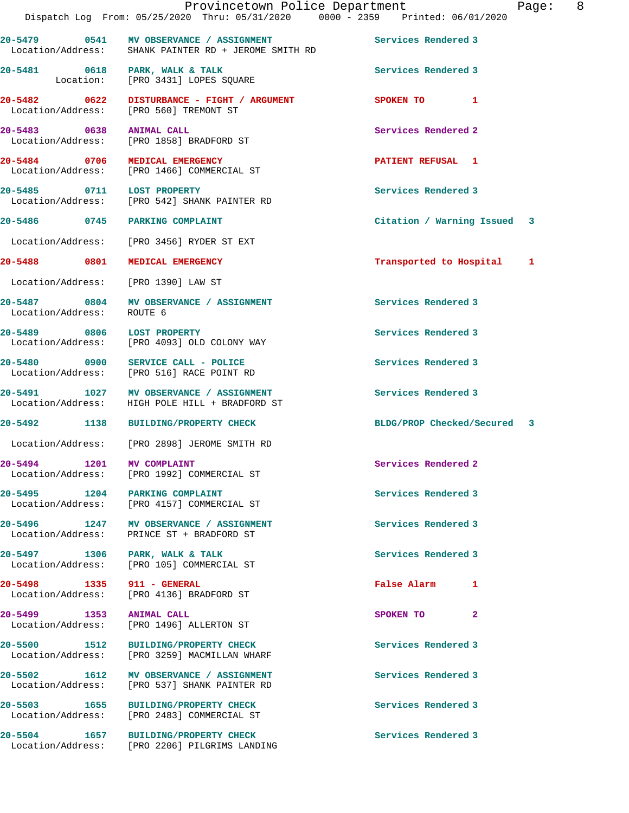|                                                     | Provincetown Police Department<br>Dispatch Log From: 05/25/2020 Thru: 05/31/2020 0000 - 2359 Printed: 06/01/2020 |                             | Page: 8 |
|-----------------------------------------------------|------------------------------------------------------------------------------------------------------------------|-----------------------------|---------|
|                                                     | 20-5479 0541 MV OBSERVANCE / ASSIGNMENT<br>Location/Address: SHANK PAINTER RD + JEROME SMITH RD                  | Services Rendered 3         |         |
| 20-5481 0618 PARK, WALK & TALK                      | Location: [PRO 3431] LOPES SQUARE                                                                                | Services Rendered 3         |         |
|                                                     | 20-5482 0622 DISTURBANCE - FIGHT / ARGUMENT<br>Location/Address: [PRO 560] TREMONT ST                            | SPOKEN TO 1                 |         |
| 20-5483 0638 ANIMAL CALL                            | Location/Address: [PRO 1858] BRADFORD ST                                                                         | Services Rendered 2         |         |
|                                                     | 20-5484 0706 MEDICAL EMERGENCY<br>Location/Address: [PRO 1466] COMMERCIAL ST                                     | PATIENT REFUSAL 1           |         |
| 20-5485 0711 LOST PROPERTY                          | Location/Address: [PRO 542] SHANK PAINTER RD                                                                     | Services Rendered 3         |         |
| 20-5486 0745 PARKING COMPLAINT                      |                                                                                                                  | Citation / Warning Issued 3 |         |
|                                                     | Location/Address: [PRO 3456] RYDER ST EXT                                                                        |                             |         |
| 20-5488 0801 MEDICAL EMERGENCY                      |                                                                                                                  | Transported to Hospital 1   |         |
| Location/Address: [PRO 1390] LAW ST                 |                                                                                                                  |                             |         |
| Location/Address: ROUTE 6                           | 20-5487 0804 MV OBSERVANCE / ASSIGNMENT                                                                          | Services Rendered 3         |         |
|                                                     | 20-5489 0806 LOST PROPERTY<br>Location/Address: [PRO 4093] OLD COLONY WAY                                        | Services Rendered 3         |         |
|                                                     | 20-5480 0900 SERVICE CALL - POLICE<br>Location/Address: [PRO 516] RACE POINT RD                                  | Services Rendered 3         |         |
|                                                     | 20-5491 1027 MV OBSERVANCE / ASSIGNMENT<br>Location/Address: HIGH POLE HILL + BRADFORD ST                        | Services Rendered 3         |         |
|                                                     | 20-5492 1138 BUILDING/PROPERTY CHECK                                                                             | BLDG/PROP Checked/Secured 3 |         |
|                                                     | Location/Address: [PRO 2898] JEROME SMITH RD                                                                     |                             |         |
| 20-5494 1201 MV COMPLAINT                           | Location/Address: [PRO 1992] COMMERCIAL ST                                                                       | Services Rendered 2         |         |
| 20-5495 1204 PARKING COMPLAINT                      | Location/Address: [PRO 4157] COMMERCIAL ST                                                                       | Services Rendered 3         |         |
|                                                     | 20-5496 1247 MV OBSERVANCE / ASSIGNMENT<br>Location/Address: PRINCE ST + BRADFORD ST                             | Services Rendered 3         |         |
| 20-5497 1306 PARK, WALK & TALK<br>Location/Address: | [PRO 105] COMMERCIAL ST                                                                                          | Services Rendered 3         |         |
| 20-5498 1335 911 - GENERAL                          | Location/Address: [PRO 4136] BRADFORD ST                                                                         | False Alarm 1               |         |
| 20-5499 1353<br>Location/Address:                   | <b>ANIMAL CALL</b><br>[PRO 1496] ALLERTON ST                                                                     | SPOKEN TO<br>$\mathbf{2}$   |         |
|                                                     | 20-5500 1512 BUILDING/PROPERTY CHECK<br>Location/Address: [PRO 3259] MACMILLAN WHARF                             | Services Rendered 3         |         |
| Location/Address:                                   | 20-5502 1612 MV OBSERVANCE / ASSIGNMENT<br>[PRO 537] SHANK PAINTER RD                                            | Services Rendered 3         |         |
|                                                     | 20-5503 1655 BUILDING/PROPERTY CHECK<br>Location/Address: [PRO 2483] COMMERCIAL ST                               | Services Rendered 3         |         |
| 20-5504<br>1657                                     | <b>BUILDING/PROPERTY CHECK</b>                                                                                   | Services Rendered 3         |         |

Location/Address: [PRO 2206] PILGRIMS LANDING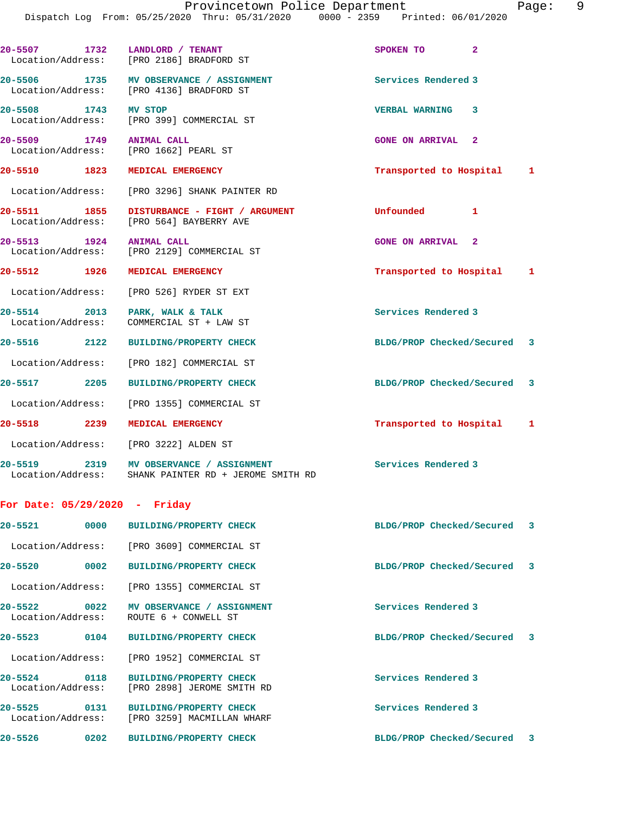|                          | Provincetown Police Department<br>Dispatch Log From: 05/25/2020 Thru: 05/31/2020 0000 - 2359 Printed: 06/01/2020 |                             | 9<br>Page: |
|--------------------------|------------------------------------------------------------------------------------------------------------------|-----------------------------|------------|
|                          |                                                                                                                  |                             |            |
|                          | 20-5507 1732 LANDLORD / TENANT<br>Location/Address: [PRO 2186] BRADFORD ST                                       | SPOKEN TO<br>$\overline{2}$ |            |
|                          | 20-5506 1735 MV OBSERVANCE / ASSIGNMENT<br>Location/Address: [PRO 4136] BRADFORD ST                              | Services Rendered 3         |            |
| 20-5508 1743 MV STOP     | Location/Address: [PRO 399] COMMERCIAL ST                                                                        | <b>VERBAL WARNING 3</b>     |            |
| 20-5509 1749 ANIMAL CALL | Location/Address: [PRO 1662] PEARL ST                                                                            | <b>GONE ON ARRIVAL 2</b>    |            |
|                          | 20-5510 1823 MEDICAL EMERGENCY                                                                                   | Transported to Hospital     | 1          |
|                          | Location/Address: [PRO 3296] SHANK PAINTER RD                                                                    |                             |            |
| 20-5511 1855             | DISTURBANCE - FIGHT / ARGUMENT<br>Location/Address: [PRO 564] BAYBERRY AVE                                       | Unfounded 1                 |            |
| 20-5513 1924 ANIMAL CALL | Location/Address: [PRO 2129] COMMERCIAL ST                                                                       | <b>GONE ON ARRIVAL 2</b>    |            |
|                          | 20-5512 1926 MEDICAL EMERGENCY                                                                                   | Transported to Hospital     | 1          |
|                          | Location/Address: [PRO 526] RYDER ST EXT                                                                         |                             |            |
|                          | 20-5514 2013 PARK, WALK & TALK<br>Location/Address: COMMERCIAL ST + LAW ST                                       | Services Rendered 3         |            |
|                          | 20-5516 2122 BUILDING/PROPERTY CHECK                                                                             | BLDG/PROP Checked/Secured 3 |            |
|                          | Location/Address: [PRO 182] COMMERCIAL ST                                                                        |                             |            |
|                          | 20-5517 2205 BUILDING/PROPERTY CHECK                                                                             | BLDG/PROP Checked/Secured 3 |            |
|                          | Location/Address: [PRO 1355] COMMERCIAL ST                                                                       |                             |            |
|                          | 20-5518 2239 MEDICAL EMERGENCY                                                                                   | Transported to Hospital     | 1          |
|                          | Location/Address: [PRO 3222] ALDEN ST                                                                            |                             |            |

20-5519 2319 MV OBSERVANCE / ASSIGNMENT **Services Rendered 3** Location/Address: SHANK PAINTER RD + JEROME SMITH RD

## **For Date: 05/29/2020 - Friday**

| 20-5521                                         | 0000 | <b>BUILDING/PROPERTY CHECK</b>                               | BLDG/PROP Checked/Secured 3 |  |
|-------------------------------------------------|------|--------------------------------------------------------------|-----------------------------|--|
|                                                 |      | Location/Address: [PRO 3609] COMMERCIAL ST                   |                             |  |
| 20-5520                                         | 0002 | BUILDING/PROPERTY CHECK                                      | BLDG/PROP Checked/Secured 3 |  |
| Location/Address:                               |      | [PRO 1355] COMMERCIAL ST                                     |                             |  |
| $20 - 5522$<br>$\sim$ 0022<br>Location/Address: |      | MV OBSERVANCE / ASSIGNMENT<br>ROUTE 6 + CONWELL ST           | Services Rendered 3         |  |
| $20 - 5523$                                     | 0104 | <b>BUILDING/PROPERTY CHECK</b>                               | BLDG/PROP Checked/Secured 3 |  |
| Location/Address:                               |      | [PRO 1952] COMMERCIAL ST                                     |                             |  |
| 20-5524 0118<br>Location/Address:               |      | <b>BUILDING/PROPERTY CHECK</b><br>[PRO 2898] JEROME SMITH RD | Services Rendered 3         |  |
| $20 - 5525$<br>Location/Address:                | 0131 | <b>BUILDING/PROPERTY CHECK</b><br>[PRO 3259] MACMILLAN WHARF | Services Rendered 3         |  |
| 20-5526                                         | 0202 | <b>BUILDING/PROPERTY CHECK</b>                               | BLDG/PROP Checked/Secured 3 |  |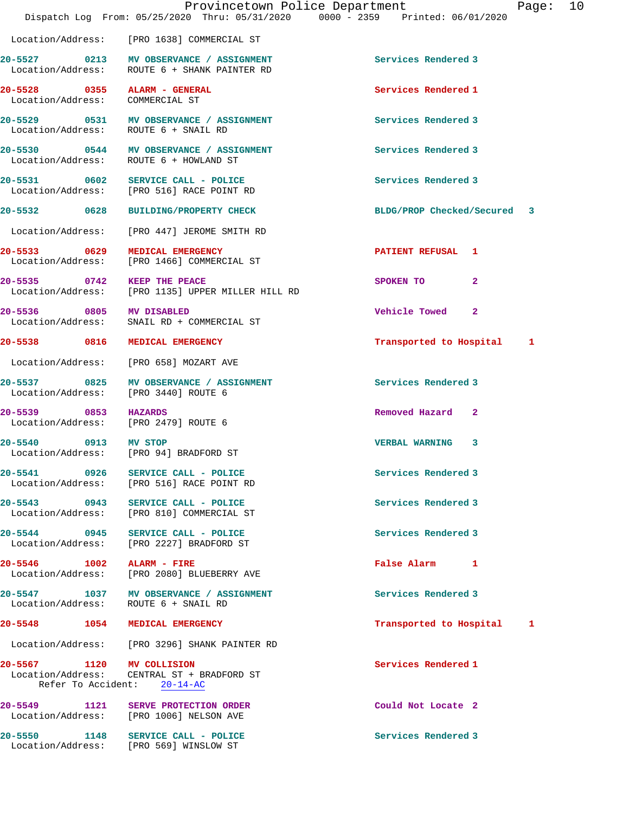|                                                                 |                                                                                         | Provincetown Police Department<br>Page:<br>Dispatch Log From: 05/25/2020 Thru: 05/31/2020 0000 - 2359 Printed: 06/01/2020 | 10 |
|-----------------------------------------------------------------|-----------------------------------------------------------------------------------------|---------------------------------------------------------------------------------------------------------------------------|----|
|                                                                 | Location/Address: [PRO 1638] COMMERCIAL ST                                              |                                                                                                                           |    |
|                                                                 | 20-5527 0213 MV OBSERVANCE / ASSIGNMENT<br>Location/Address: ROUTE 6 + SHANK PAINTER RD | Services Rendered 3                                                                                                       |    |
| 20-5528 0355 ALARM - GENERAL<br>Location/Address: COMMERCIAL ST |                                                                                         | Services Rendered 1                                                                                                       |    |
| Location/Address: ROUTE 6 + SNAIL RD                            | 20-5529 0531 MV OBSERVANCE / ASSIGNMENT                                                 | Services Rendered 3                                                                                                       |    |
|                                                                 | 20-5530 0544 MV OBSERVANCE / ASSIGNMENT<br>Location/Address: ROUTE 6 + HOWLAND ST       | Services Rendered 3                                                                                                       |    |
|                                                                 | 20-5531 0602 SERVICE CALL - POLICE<br>Location/Address: [PRO 516] RACE POINT RD         | Services Rendered 3                                                                                                       |    |
| 20-5532 0628                                                    | <b>BUILDING/PROPERTY CHECK</b>                                                          | BLDG/PROP Checked/Secured 3                                                                                               |    |
|                                                                 | Location/Address: [PRO 447] JEROME SMITH RD                                             |                                                                                                                           |    |
| 20-5533 0629 MEDICAL EMERGENCY                                  | Location/Address: [PRO 1466] COMMERCIAL ST                                              | PATIENT REFUSAL 1                                                                                                         |    |
| 20-5535 0742 KEEP THE PEACE                                     | Location/Address: [PRO 1135] UPPER MILLER HILL RD                                       | SPOKEN TO<br>$\mathbf{2}$                                                                                                 |    |
| 20-5536 0805 MV DISABLED                                        | Location/Address: SNAIL RD + COMMERCIAL ST                                              | Vehicle Towed 2                                                                                                           |    |
| 20-5538 0816 MEDICAL EMERGENCY                                  |                                                                                         | Transported to Hospital 1                                                                                                 |    |
|                                                                 | Location/Address: [PRO 658] MOZART AVE                                                  |                                                                                                                           |    |
| Location/Address: [PRO 3440] ROUTE 6                            | 20-5537 0825 MV OBSERVANCE / ASSIGNMENT                                                 | Services Rendered 3                                                                                                       |    |
| 20-5539 0853 HAZARDS<br>Location/Address: [PRO 2479] ROUTE 6    |                                                                                         | Removed Hazard 2                                                                                                          |    |
| 20-5540 0913 MV STOP                                            | Location/Address: [PRO 94] BRADFORD ST                                                  | VERBAL WARNING 3                                                                                                          |    |
| 20-5541 0926                                                    | SERVICE CALL - POLICE<br>Location/Address: [PRO 516] RACE POINT RD                      | Services Rendered 3                                                                                                       |    |
|                                                                 | 20-5543 0943 SERVICE CALL - POLICE<br>Location/Address: [PRO 810] COMMERCIAL ST         | Services Rendered 3                                                                                                       |    |
|                                                                 | 20-5544 0945 SERVICE CALL - POLICE<br>Location/Address: [PRO 2227] BRADFORD ST          | Services Rendered 3                                                                                                       |    |
| 20-5546 1002 ALARM - FIRE                                       | Location/Address: [PRO 2080] BLUEBERRY AVE                                              | False Alarm 1                                                                                                             |    |
| Location/Address: ROUTE 6 + SNAIL RD                            | 20-5547 1037 MV OBSERVANCE / ASSIGNMENT                                                 | Services Rendered 3                                                                                                       |    |
| 20-5548                                                         | 1054 MEDICAL EMERGENCY                                                                  | Transported to Hospital 1                                                                                                 |    |
|                                                                 | Location/Address: [PRO 3296] SHANK PAINTER RD                                           |                                                                                                                           |    |
| 20-5567 1120 MV COLLISION                                       | Location/Address: CENTRAL ST + BRADFORD ST<br>Refer To Accident: 20-14-AC               | Services Rendered 1                                                                                                       |    |
|                                                                 | 20-5549 1121 SERVE PROTECTION ORDER<br>Location/Address: [PRO 1006] NELSON AVE          | Could Not Locate 2                                                                                                        |    |
|                                                                 | 20-5550 1148 SERVICE CALL - POLICE<br>Location/Address: [PRO 569] WINSLOW ST            | Services Rendered 3                                                                                                       |    |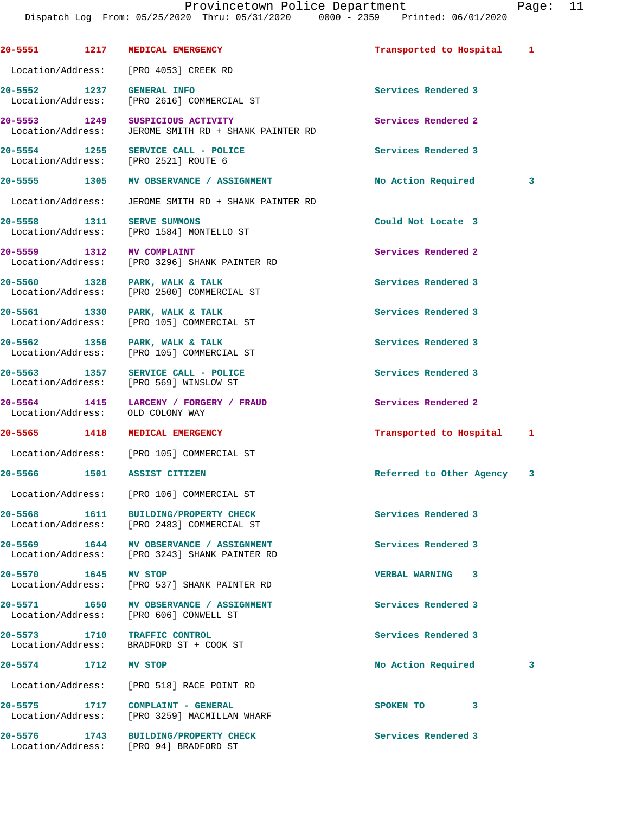**20-5551 1217 MEDICAL EMERGENCY Transported to Hospital 1** Location/Address: [PRO 4053] CREEK RD **20-5552 1237 GENERAL INFO Services Rendered 3**  Location/Address: [PRO 2616] COMMERCIAL ST **20-5553 1249 SUSPICIOUS ACTIVITY Services Rendered 2**  Location/Address: JEROME SMITH RD + SHANK PAINTER RD 20-5554 1255 SERVICE CALL - POLICE **1255 SERVICE CALL - POLICE** Services Rendered 3<br>
Location/Address: [PRO 2521] ROUTE 6 Location/Address: **20-5555 1305 MV OBSERVANCE / ASSIGNMENT No Action Required 3** Location/Address: JEROME SMITH RD + SHANK PAINTER RD **20-5558 1311 SERVE SUMMONS Could Not Locate 3**  Location/Address: [PRO 1584] MONTELLO ST **20-5559 1312 MV COMPLAINT Services Rendered 2**  Location/Address: [PRO 3296] SHANK PAINTER RD 20-5560 1328 PARK, WALK & TALK **Services Rendered 3** Accation/Address: [PRO 2500] COMMERCIAL ST [PRO 2500] COMMERCIAL ST **20-5561 1330 PARK, WALK & TALK Services Rendered 3**  Location/Address: [PRO 105] COMMERCIAL ST **20-5562 1356 PARK, WALK & TALK Services Rendered 3**  Location/Address: [PRO 105] COMMERCIAL ST **20-5563 1357 SERVICE CALL - POLICE Services Rendered 3**  Location/Address: [PRO 569] WINSLOW ST **20-5564 1415 LARCENY / FORGERY / FRAUD Services Rendered 2**  Location/Address: OLD COLONY WAY **20-5565 1418 MEDICAL EMERGENCY Transported to Hospital 1** Location/Address: [PRO 105] COMMERCIAL ST **20-5566 1501 ASSIST CITIZEN Referred to Other Agency 3** Location/Address: [PRO 106] COMMERCIAL ST **20-5568 1611 BUILDING/PROPERTY CHECK Services Rendered 3**  Location/Address: [PRO 2483] COMMERCIAL ST **20-5569 1644 MV OBSERVANCE / ASSIGNMENT Services Rendered 3**  Location/Address: [PRO 3243] SHANK PAINTER RD **20-5570 1645 MV STOP VERBAL WARNING 3**  Location/Address: [PRO 537] SHANK PAINTER RD **20-5571 1650 MV OBSERVANCE / ASSIGNMENT Services Rendered 3**  Location/Address: [PRO 606] CONWELL ST **20-5573 1710 TRAFFIC CONTROL Services Rendered 3**  Location/Address: BRADFORD ST + COOK ST **20-5574 1712 MV STOP No Action Required 3** Location/Address: [PRO 518] RACE POINT RD **20-5575 1717 COMPLAINT - GENERAL SPOKEN TO 3**  Location/Address: [PRO 3259] MACMILLAN WHARF **20-5576 1743 BUILDING/PROPERTY CHECK Services Rendered 3**  Location/Address: [PRO 94] BRADFORD ST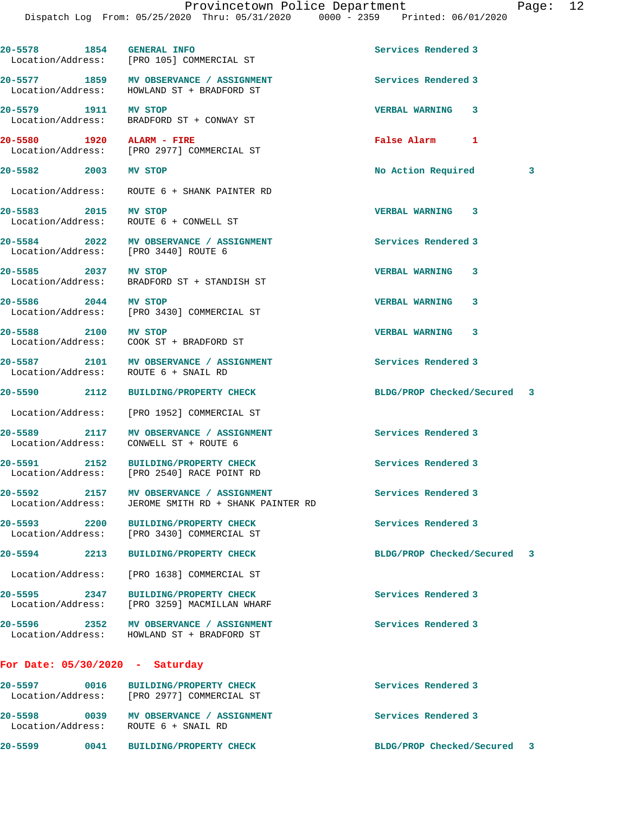| 20-5578 1854 GENERAL INFO         | Location/Address: [PRO 105] COMMERCIAL ST                                             | Services Rendered 3         |   |
|-----------------------------------|---------------------------------------------------------------------------------------|-----------------------------|---|
| Location/Address:                 | 20-5577 1859 MV OBSERVANCE / ASSIGNMENT<br>HOWLAND ST + BRADFORD ST                   | Services Rendered 3         |   |
|                                   | 20-5579 1911 MV STOP<br>Location/Address: BRADFORD ST + CONWAY ST                     | <b>VERBAL WARNING 3</b>     |   |
| 20-5580 1920 ALARM - FIRE         | Location/Address: [PRO 2977] COMMERCIAL ST                                            | False Alarm 1               |   |
| 20-5582 2003 MV STOP              |                                                                                       | No Action Required          | 3 |
|                                   | Location/Address: ROUTE 6 + SHANK PAINTER RD                                          |                             |   |
| 20-5583 2015 MV STOP              | Location/Address: ROUTE 6 + CONWELL ST                                                | <b>VERBAL WARNING 3</b>     |   |
|                                   | 20-5584 2022 MV OBSERVANCE / ASSIGNMENT<br>Location/Address: [PRO 3440] ROUTE 6       | Services Rendered 3         |   |
| 20-5585 2037 MV STOP              | Location/Address: BRADFORD ST + STANDISH ST                                           | <b>VERBAL WARNING</b><br>3  |   |
| 20-5586 2044 MV STOP              | Location/Address: [PRO 3430] COMMERCIAL ST                                            | <b>VERBAL WARNING</b><br>3  |   |
| 20-5588 2100 MV STOP              | Location/Address: COOK ST + BRADFORD ST                                               | <b>VERBAL WARNING</b><br>3  |   |
|                                   | 20-5587 2101 MV OBSERVANCE / ASSIGNMENT<br>Location/Address: ROUTE 6 + SNAIL RD       | Services Rendered 3         |   |
|                                   | 20-5590 2112 BUILDING/PROPERTY CHECK                                                  | BLDG/PROP Checked/Secured 3 |   |
|                                   | Location/Address: [PRO 1952] COMMERCIAL ST                                            |                             |   |
|                                   | 20-5589 2117 MV OBSERVANCE / ASSIGNMENT<br>Location/Address: CONWELL ST + ROUTE 6     | Services Rendered 3         |   |
|                                   | 20-5591 2152 BUILDING/PROPERTY CHECK<br>Location/Address: [PRO 2540] RACE POINT RD    | Services Rendered 3         |   |
| $20 - 5592$<br>Location/Address:  | 2157 MV OBSERVANCE / ASSIGNMENT<br>JEROME SMITH RD + SHANK PAINTER RD                 | Services Rendered 3         |   |
| Location/Address:                 | 20-5593 2200 BUILDING/PROPERTY CHECK<br>[PRO 3430] COMMERCIAL ST                      | Services Rendered 3         |   |
| 20-5594 2213                      | <b>BUILDING/PROPERTY CHECK</b>                                                        | BLDG/PROP Checked/Secured 3 |   |
| Location/Address:                 | [PRO 1638] COMMERCIAL ST                                                              |                             |   |
| 20-5595 2347<br>Location/Address: | <b>BUILDING/PROPERTY CHECK</b><br>[PRO 3259] MACMILLAN WHARF                          | Services Rendered 3         |   |
|                                   | 20-5596 2352 MV OBSERVANCE / ASSIGNMENT<br>Location/Address: HOWLAND ST + BRADFORD ST | Services Rendered 3         |   |
| For Date: $05/30/2020 - Saturday$ |                                                                                       |                             |   |
|                                   | 20-5597 0016 BUILDING/PROPERTY CHECK<br>Location/Address: [PRO 2977] COMMERCIAL ST    | Services Rendered 3         |   |
|                                   | 20-5598 0039 MV OBSERVANCE / ASSIGNMENT<br>Location/Address: ROUTE 6 + SNAIL RD       | Services Rendered 3         |   |

**20-5599 0041 BUILDING/PROPERTY CHECK BLDG/PROP Checked/Secured 3**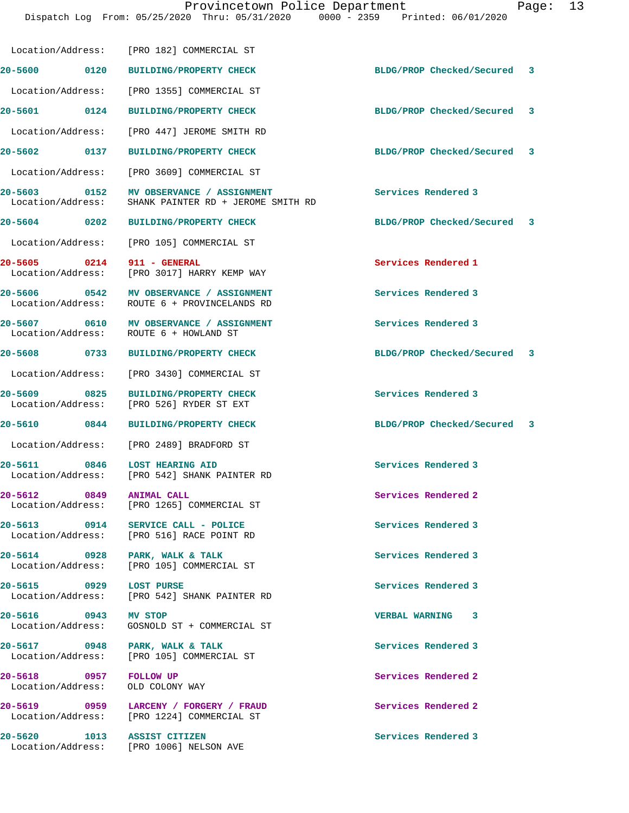|                                             | Location/Address: [PRO 182] COMMERCIAL ST                                                       |                             |  |
|---------------------------------------------|-------------------------------------------------------------------------------------------------|-----------------------------|--|
| 20-5600 0120                                | <b>BUILDING/PROPERTY CHECK</b>                                                                  | BLDG/PROP Checked/Secured 3 |  |
| Location/Address:                           | [PRO 1355] COMMERCIAL ST                                                                        |                             |  |
| 20-5601 0124                                | <b>BUILDING/PROPERTY CHECK</b>                                                                  | BLDG/PROP Checked/Secured 3 |  |
|                                             | Location/Address: [PRO 447] JEROME SMITH RD                                                     |                             |  |
| 20-5602 0137                                | BUILDING/PROPERTY CHECK                                                                         | BLDG/PROP Checked/Secured 3 |  |
| Location/Address:                           | [PRO 3609] COMMERCIAL ST                                                                        |                             |  |
|                                             | 20-5603 0152 MV OBSERVANCE / ASSIGNMENT<br>Location/Address: SHANK PAINTER RD + JEROME SMITH RD | Services Rendered 3         |  |
| 20-5604 0202                                | <b>BUILDING/PROPERTY CHECK</b>                                                                  | BLDG/PROP Checked/Secured 3 |  |
| Location/Address:                           | [PRO 105] COMMERCIAL ST                                                                         |                             |  |
| 20-5605 0214                                | 911 - GENERAL<br>Location/Address: [PRO 3017] HARRY KEMP WAY                                    | Services Rendered 1         |  |
|                                             | 20-5606 0542 MV OBSERVANCE / ASSIGNMENT<br>Location/Address: ROUTE 6 + PROVINCELANDS RD         | Services Rendered 3         |  |
|                                             | 20-5607 0610 MV OBSERVANCE / ASSIGNMENT<br>Location/Address: ROUTE 6 + HOWLAND ST               | Services Rendered 3         |  |
| 20-5608 0733                                | <b>BUILDING/PROPERTY CHECK</b>                                                                  | BLDG/PROP Checked/Secured 3 |  |
|                                             | Location/Address: [PRO 3430] COMMERCIAL ST                                                      |                             |  |
| 0825<br>20-5609<br>Location/Address:        | <b>BUILDING/PROPERTY CHECK</b><br>[PRO 526] RYDER ST EXT                                        | Services Rendered 3         |  |
| 20-5610 0844                                | <b>BUILDING/PROPERTY CHECK</b>                                                                  | BLDG/PROP Checked/Secured 3 |  |
|                                             | Location/Address: [PRO 2489] BRADFORD ST                                                        |                             |  |
| $\overline{0846}$<br>20-5611                | <b>LOST HEARING AID</b><br>Location/Address: [PRO 542] SHANK PAINTER RD                         | Services Rendered 3         |  |
| 20-5612<br>$\sim$ 0849<br>Location/Address: | <b>ANIMAL CALL</b><br>[PRO 1265] COMMERCIAL ST                                                  | Services Rendered 2         |  |
| 20-5613 0914                                | SERVICE CALL - POLICE<br>Location/Address: [PRO 516] RACE POINT RD                              | Services Rendered 3         |  |
| 20-5614 0928 PARK, WALK & TALK              | Location/Address: [PRO 105] COMMERCIAL ST                                                       | Services Rendered 3         |  |
| 20-5615 0929 LOST PURSE                     | Location/Address: [PRO 542] SHANK PAINTER RD                                                    | Services Rendered 3         |  |
| 20-5616 0943 MV STOP<br>Location/Address:   | GOSNOLD ST + COMMERCIAL ST                                                                      | VERBAL WARNING 3            |  |
| 20-5617 0948 PARK, WALK & TALK              | Location/Address: [PRO 105] COMMERCIAL ST                                                       | Services Rendered 3         |  |
| 20-5618 0957<br>Location/Address:           | FOLLOW UP<br>OLD COLONY WAY                                                                     | Services Rendered 2         |  |
|                                             | 20-5619 0959 LARCENY / FORGERY / FRAUD<br>Location/Address: [PRO 1224] COMMERCIAL ST            | Services Rendered 2         |  |
| 20-5620 1013 ASSIST CITIZEN                 | Location/Address: [PRO 1006] NELSON AVE                                                         | Services Rendered 3         |  |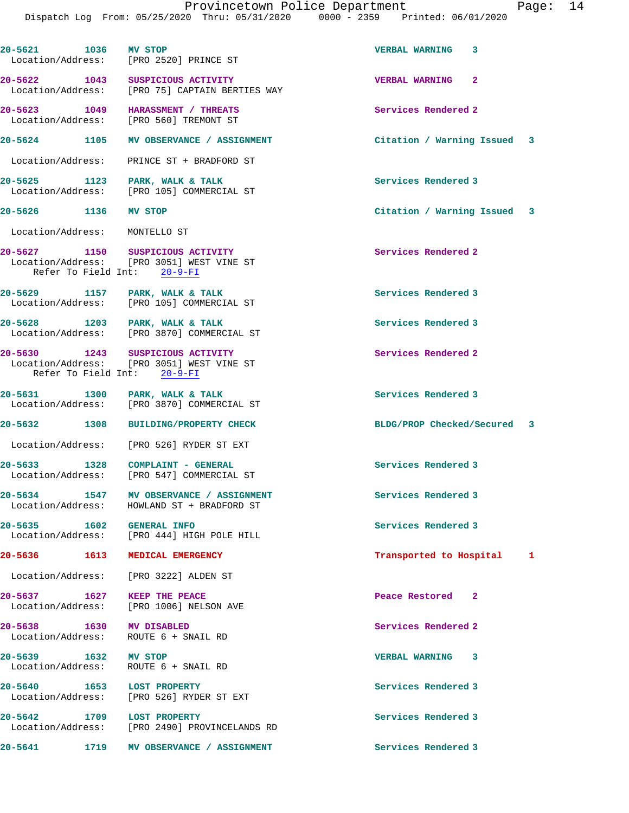| 20-5621 1036 MV STOP          |      | Location/Address: [PRO 2520] PRINCE ST                                                                       | <b>VERBAL WARNING</b>       | 3 |  |
|-------------------------------|------|--------------------------------------------------------------------------------------------------------------|-----------------------------|---|--|
|                               |      | 20-5622 1043 SUSPICIOUS ACTIVITY<br>Location/Address: [PRO 75] CAPTAIN BERTIES WAY                           | VERBAL WARNING 2            |   |  |
|                               |      | 20-5623 1049 HARASSMENT / THREATS<br>Location/Address: [PRO 560] TREMONT ST                                  | Services Rendered 2         |   |  |
|                               |      | 20-5624 1105 MV OBSERVANCE / ASSIGNMENT                                                                      | Citation / Warning Issued 3 |   |  |
|                               |      | Location/Address: PRINCE ST + BRADFORD ST                                                                    |                             |   |  |
|                               |      | 20-5625 1123 PARK, WALK & TALK<br>Location/Address: [PRO 105] COMMERCIAL ST                                  | Services Rendered 3         |   |  |
| 20-5626 1136 MV STOP          |      |                                                                                                              | Citation / Warning Issued 3 |   |  |
| Location/Address: MONTELLO ST |      |                                                                                                              |                             |   |  |
|                               |      | 20-5627 1150 SUSPICIOUS ACTIVITY<br>Location/Address: [PRO 3051] WEST VINE ST<br>Refer To Field Int: 20-9-FI | Services Rendered 2         |   |  |
|                               |      | 20-5629 1157 PARK, WALK & TALK<br>Location/Address: [PRO 105] COMMERCIAL ST                                  | Services Rendered 3         |   |  |
|                               |      | 20-5628 1203 PARK, WALK & TALK<br>Location/Address: [PRO 3870] COMMERCIAL ST                                 | Services Rendered 3         |   |  |
|                               |      | 20-5630 1243 SUSPICIOUS ACTIVITY<br>Location/Address: [PRO 3051] WEST VINE ST<br>Refer To Field Int: 20-9-FI | Services Rendered 2         |   |  |
|                               |      | 20-5631 1300 PARK, WALK & TALK<br>Location/Address: [PRO 3870] COMMERCIAL ST                                 | Services Rendered 3         |   |  |
|                               |      | 20-5632 1308 BUILDING/PROPERTY CHECK                                                                         | BLDG/PROP Checked/Secured 3 |   |  |
|                               |      | Location/Address: [PRO 526] RYDER ST EXT                                                                     |                             |   |  |
|                               |      | 20-5633 1328 COMPLAINT - GENERAL<br>Location/Address: [PRO 547] COMMERCIAL ST                                | Services Rendered 3         |   |  |
|                               |      | 20-5634 1547 MV OBSERVANCE / ASSIGNMENT<br>Location/Address: HOWLAND ST + BRADFORD ST                        | Services Rendered 3         |   |  |
| 20-5635 1602 GENERAL INFO     |      | Location/Address: [PRO 444] HIGH POLE HILL                                                                   | Services Rendered 3         |   |  |
|                               |      | 20-5636 1613 MEDICAL EMERGENCY                                                                               | Transported to Hospital     | 1 |  |
|                               |      | Location/Address: [PRO 3222] ALDEN ST                                                                        |                             |   |  |
|                               |      | 20-5637 1627 KEEP THE PEACE<br>Location/Address: [PRO 1006] NELSON AVE                                       | Peace Restored 2            |   |  |
| 20-5638 1630 MV DISABLED      |      | Location/Address: ROUTE 6 + SNAIL RD                                                                         | Services Rendered 2         |   |  |
| 20-5639 1632 MV STOP          |      | Location/Address: ROUTE 6 + SNAIL RD                                                                         | <b>VERBAL WARNING 3</b>     |   |  |
| 20-5640 1653 LOST PROPERTY    |      | Location/Address: [PRO 526] RYDER ST EXT                                                                     | Services Rendered 3         |   |  |
| 20-5642 1709 LOST PROPERTY    |      | Location/Address: [PRO 2490] PROVINCELANDS RD                                                                | Services Rendered 3         |   |  |
| 20-5641                       | 1719 | MV OBSERVANCE / ASSIGNMENT                                                                                   | Services Rendered 3         |   |  |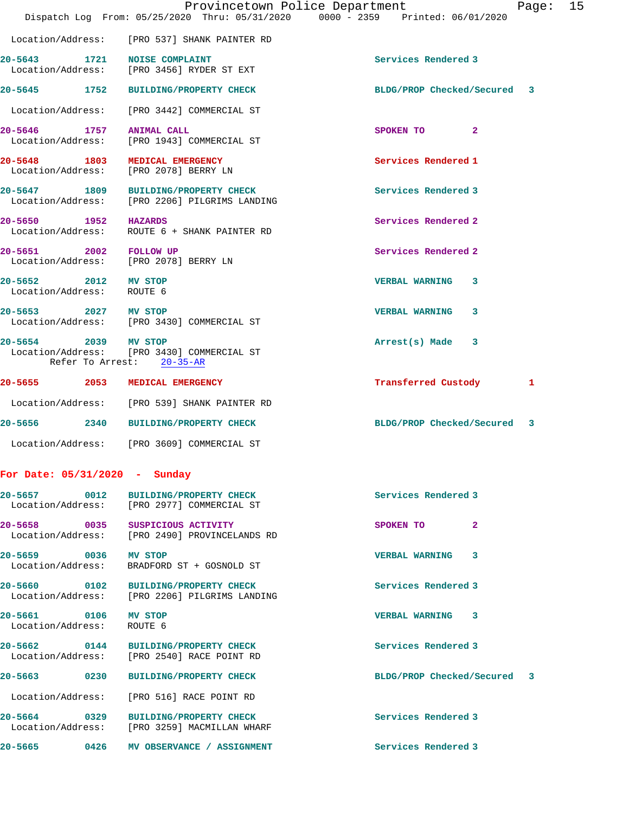|                                                   | Dispatch Log From: 05/25/2020 Thru: 05/31/2020                                        | Provincetown Police Department<br>Page: 15<br>0000 - 2359 Printed: 06/01/2020 |
|---------------------------------------------------|---------------------------------------------------------------------------------------|-------------------------------------------------------------------------------|
|                                                   | Location/Address: [PRO 537] SHANK PAINTER RD                                          |                                                                               |
| 20-5643 1721                                      | <b>NOISE COMPLAINT</b><br>Location/Address: [PRO 3456] RYDER ST EXT                   | Services Rendered 3                                                           |
|                                                   | 20-5645 1752 BUILDING/PROPERTY CHECK                                                  | BLDG/PROP Checked/Secured<br>3                                                |
|                                                   | Location/Address: [PRO 3442] COMMERCIAL ST                                            |                                                                               |
| 20–5646 1757                                      | ANIMAL CALL<br>Location/Address: [PRO 1943] COMMERCIAL ST                             | $\mathbf{2}$<br>SPOKEN TO                                                     |
| 20-5648 1803                                      | <b>MEDICAL EMERGENCY</b><br>Location/Address: [PRO 2078] BERRY LN                     | Services Rendered 1                                                           |
|                                                   | 20-5647 1809 BUILDING/PROPERTY CHECK<br>Location/Address: [PRO 2206] PILGRIMS LANDING | Services Rendered 3                                                           |
| 20-5650 1952 HAZARDS<br>Location/Address:         | ROUTE 6 + SHANK PAINTER RD                                                            | Services Rendered 2                                                           |
| 20-5651 2002 FOLLOW UP                            | Location/Address: [PRO 2078] BERRY LN                                                 | Services Rendered 2                                                           |
| 20-5652 2012 MV STOP<br>Location/Address: ROUTE 6 |                                                                                       | <b>VERBAL WARNING 3</b>                                                       |
| 20-5653 2027 MV STOP                              | Location/Address: [PRO 3430] COMMERCIAL ST                                            | <b>VERBAL WARNING</b><br>3                                                    |
| 20-5654 2039 MV STOP                              | Location/Address: [PRO 3430] COMMERCIAL ST<br>Refer To Arrest: 20-35-AR               | $Arrest(s)$ Made $3$                                                          |
| 20-5655 2053 MEDICAL EMERGENCY                    |                                                                                       | Transferred Custody<br>1                                                      |
|                                                   | Location/Address: [PRO 539] SHANK PAINTER RD                                          |                                                                               |
| 20-5656                                           | 2340 BUILDING/PROPERTY CHECK                                                          | BLDG/PROP Checked/Secured<br>3                                                |
|                                                   | Location/Address: [PRO 3609] COMMERCIAL ST                                            |                                                                               |
| For Date: $05/31/2020 -$ Sunday                   |                                                                                       |                                                                               |
|                                                   | 20-5657 0012 BUILDING/PROPERTY CHECK<br>Location/Address: [PRO 2977] COMMERCIAL ST    | Services Rendered 3                                                           |
|                                                   | 20-5658 0035 SUSPICIOUS ACTIVITY<br>Location/Address: [PRO 2490] PROVINCELANDS RD     | SPOKEN TO<br>$\mathbf{2}$                                                     |
| 20-5659 0036                                      | MV STOP<br>Location/Address: BRADFORD ST + GOSNOLD ST                                 | VERBAL WARNING 3                                                              |
|                                                   | 20-5660 0102 BUILDING/PROPERTY CHECK<br>Location/Address: [PRO 2206] PILGRIMS LANDING | Services Rendered 3                                                           |
| 20-5661 0106 MV STOP<br>Location/Address:         | ROUTE 6                                                                               | VERBAL WARNING 3                                                              |
|                                                   | 20-5662 0144 BUILDING/PROPERTY CHECK<br>Location/Address: [PRO 2540] RACE POINT RD    | Services Rendered 3                                                           |
|                                                   | 20-5663 0230 BUILDING/PROPERTY CHECK                                                  | BLDG/PROP Checked/Secured 3                                                   |
|                                                   | Location/Address: [PRO 516] RACE POINT RD                                             |                                                                               |

**20-5664 0329 BUILDING/PROPERTY CHECK Services Rendered 3**  Location/Address: [PRO 3259] MACMILLAN WHARF

20-5665 0426 MV OBSERVANCE / ASSIGNMENT **Services Rendered 3**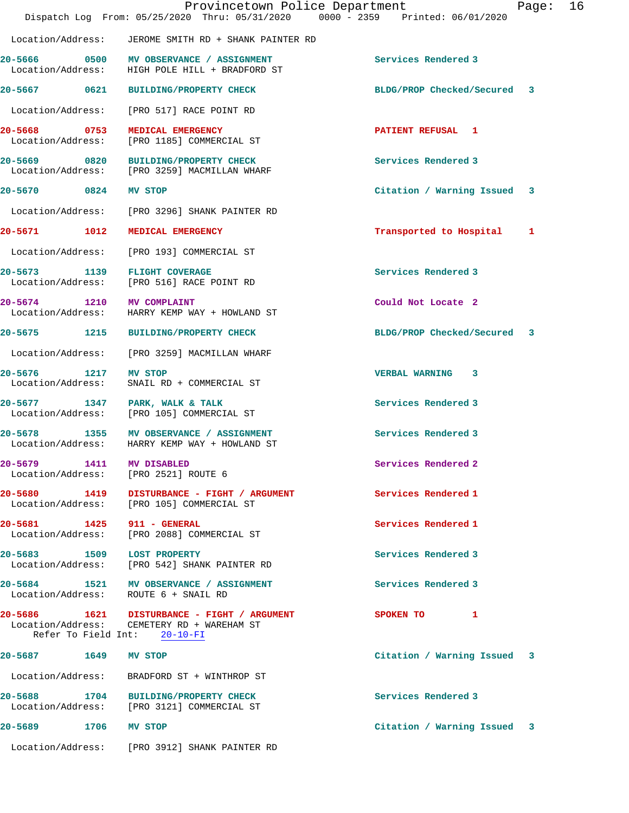|                                   | Provincetown Police Department<br>Dispatch Log From: 05/25/2020 Thru: 05/31/2020 0000 - 2359 Printed: 06/01/2020          |                             | Page: | 16 |
|-----------------------------------|---------------------------------------------------------------------------------------------------------------------------|-----------------------------|-------|----|
|                                   | Location/Address: JEROME SMITH RD + SHANK PAINTER RD                                                                      |                             |       |    |
|                                   | 20-5666 0500 MV OBSERVANCE / ASSIGNMENT<br>Location/Address: HIGH POLE HILL + BRADFORD ST                                 | Services Rendered 3         |       |    |
| 20-5667 0621                      | <b>BUILDING/PROPERTY CHECK</b>                                                                                            | BLDG/PROP Checked/Secured 3 |       |    |
|                                   | Location/Address: [PRO 517] RACE POINT RD                                                                                 |                             |       |    |
| Location/Address:                 | 20-5668 0753 MEDICAL EMERGENCY<br>[PRO 1185] COMMERCIAL ST                                                                | <b>PATIENT REFUSAL 1</b>    |       |    |
|                                   | 20-5669 0820 BUILDING/PROPERTY CHECK<br>Location/Address: [PRO 3259] MACMILLAN WHARF                                      | Services Rendered 3         |       |    |
| 20-5670 0824                      | MV STOP                                                                                                                   | Citation / Warning Issued 3 |       |    |
|                                   | Location/Address: [PRO 3296] SHANK PAINTER RD                                                                             |                             |       |    |
| 20-5671 1012                      | MEDICAL EMERGENCY                                                                                                         | Transported to Hospital     | 1     |    |
|                                   | Location/Address: [PRO 193] COMMERCIAL ST                                                                                 |                             |       |    |
|                                   | 20-5673 1139 FLIGHT COVERAGE<br>Location/Address: [PRO 516] RACE POINT RD                                                 | Services Rendered 3         |       |    |
| 20-5674 1210 MV COMPLAINT         | Location/Address: HARRY KEMP WAY + HOWLAND ST                                                                             | Could Not Locate 2          |       |    |
|                                   | 20-5675 1215 BUILDING/PROPERTY CHECK                                                                                      | BLDG/PROP Checked/Secured 3 |       |    |
| Location/Address:                 | [PRO 3259] MACMILLAN WHARF                                                                                                |                             |       |    |
| 20-5676 1217<br>Location/Address: | MV STOP<br>SNAIL RD + COMMERCIAL ST                                                                                       | VERBAL WARNING 3            |       |    |
|                                   | 20-5677 1347 PARK, WALK & TALK<br>Location/Address: [PRO 105] COMMERCIAL ST                                               | Services Rendered 3         |       |    |
|                                   | 20-5678 1355 MV OBSERVANCE / ASSIGNMENT<br>Location/Address: HARRY KEMP WAY + HOWLAND ST                                  | Services Rendered 3         |       |    |
| 20-5679 1411 MV DISABLED          | Location/Address: [PRO 2521] ROUTE 6                                                                                      | Services Rendered 2         |       |    |
|                                   | 20-5680 1419 DISTURBANCE - FIGHT / ARGUMENT<br>Location/Address: [PRO 105] COMMERCIAL ST                                  | Services Rendered 1         |       |    |
| 20-5681 1425 911 - GENERAL        | Location/Address: [PRO 2088] COMMERCIAL ST                                                                                | Services Rendered 1         |       |    |
| 20-5683 1509 LOST PROPERTY        | Location/Address: [PRO 542] SHANK PAINTER RD                                                                              | Services Rendered 3         |       |    |
|                                   | 20-5684 1521 MV OBSERVANCE / ASSIGNMENT<br>Location/Address: ROUTE 6 + SNAIL RD                                           | Services Rendered 3         |       |    |
|                                   | 20-5686 1621 DISTURBANCE - FIGHT / ARGUMENT<br>Location/Address: CEMETERY RD + WAREHAM ST<br>Refer To Field Int: 20-10-FI | SPOKEN TO 1                 |       |    |
| 20-5687 1649 MV STOP              |                                                                                                                           | Citation / Warning Issued 3 |       |    |
|                                   | Location/Address: BRADFORD ST + WINTHROP ST                                                                               |                             |       |    |
|                                   | 20-5688 1704 BUILDING/PROPERTY CHECK<br>Location/Address: [PRO 3121] COMMERCIAL ST                                        | Services Rendered 3         |       |    |
| 20-5689 1706 MV STOP              |                                                                                                                           | Citation / Warning Issued 3 |       |    |
|                                   | Location/Address: [PRO 3912] SHANK PAINTER RD                                                                             |                             |       |    |